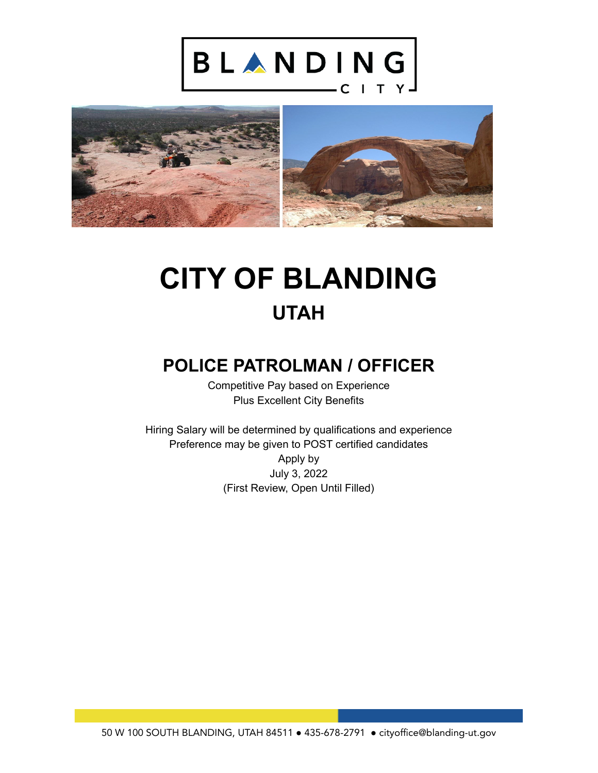



# **CITY OF BLANDING UTAH**

## **POLICE PATROLMAN / OFFICER**

Competitive Pay based on Experience Plus Excellent City Benefits

Hiring Salary will be determined by qualifications and experience Preference may be given to POST certified candidates Apply by July 3, 2022 (First Review, Open Until Filled)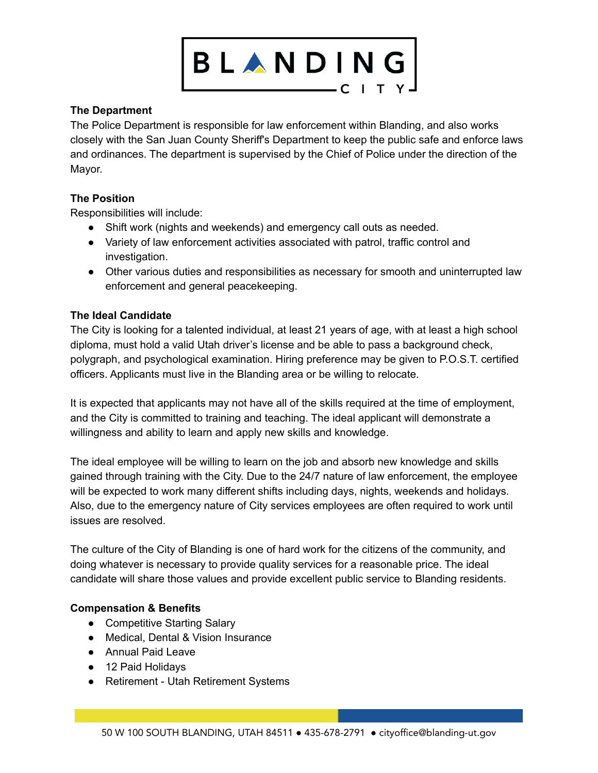

### **The Department**

The Police Department is responsible for law enforcement within Blanding, and also works closely with the San Juan County Sheriff's Department to keep the public safe and enforce laws and ordinances. The department is supervised by the Chief of Police under the direction of the Mayor.

### **The Position**

Responsibilities will include:

- Shift work (nights and weekends) and emergency call outs as needed.
- Variety of law enforcement activities associated with patrol, traffic control and investigation.
- Other various duties and responsibilities as necessary for smooth and uninterrupted law enforcement and general peacekeeping.

#### **The Ideal Candidate**

The City is looking for a talented individual, at least 21 years of age, with at least a high school diploma, must hold a valid Utah driver's license and be able to pass a background check, polygraph, and psychological examination. Hiring preference may be given to P.O.S.T. certified officers. Applicants must live in the Blanding area or be willing to relocate.

It is expected that applicants may not have all of the skills required at the time of employment, and the City is committed to training and teaching. The ideal applicant will demonstrate a willingness and ability to learn and apply new skills and knowledge.

The ideal employee will be willing to learn on the job and absorb new knowledge and skills gained through training with the City. Due to the 24/7 nature of law enforcement, the employee will be expected to work many different shifts including days, nights, weekends and holidays. Also, due to the emergency nature of City services employees are often required to work until issues are resolved.

The culture of the City of Blanding is one of hard work for the citizens of the community, and doing whatever is necessary to provide quality services for a reasonable price. The ideal candidate will share those values and provide excellent public service to Blanding residents.

#### **Compensation & Benefits**

- Competitive Starting Salary
- Medical, Dental & Vision Insurance
- Annual Paid Leave
- 12 Paid Holidavs
- Retirement Utah Retirement Systems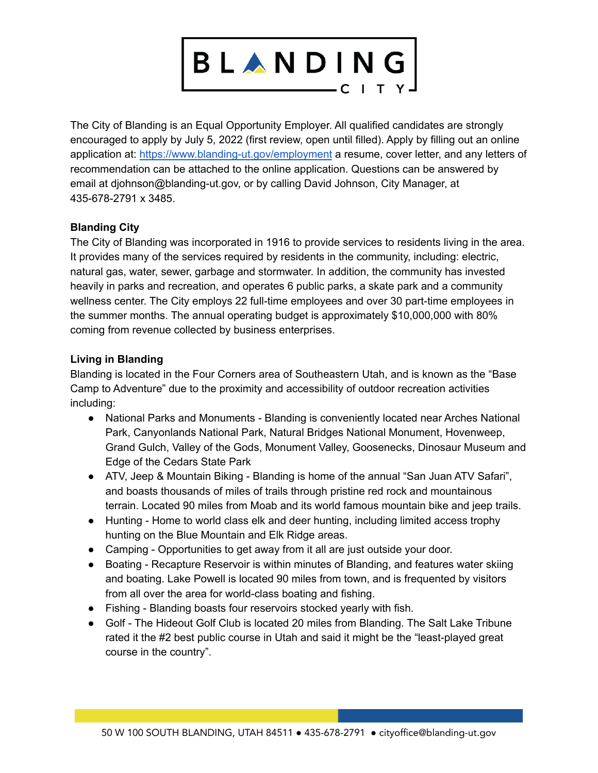

The City of Blanding is an Equal Opportunity Employer. All qualified candidates are strongly encouraged to apply by July 5, 2022 (first review, open until filled). Apply by filling out an online application at: <https://www.blanding-ut.gov/employment> a resume, cover letter, and any letters of recommendation can be attached to the online application. Questions can be answered by email at djohnson@blanding-ut.gov, or by calling David Johnson, City Manager, at 435-678-2791 x 3485.

#### **Blanding City**

The City of Blanding was incorporated in 1916 to provide services to residents living in the area. It provides many of the services required by residents in the community, including: electric, natural gas, water, sewer, garbage and stormwater. In addition, the community has invested heavily in parks and recreation, and operates 6 public parks, a skate park and a community wellness center. The City employs 22 full-time employees and over 30 part-time employees in the summer months. The annual operating budget is approximately \$10,000,000 with 80% coming from revenue collected by business enterprises.

#### **Living in Blanding**

Blanding is located in the Four Corners area of Southeastern Utah, and is known as the "Base Camp to Adventure" due to the proximity and accessibility of outdoor recreation activities including:

- National Parks and Monuments Blanding is conveniently located near Arches National Park, Canyonlands National Park, Natural Bridges National Monument, Hovenweep, Grand Gulch, Valley of the Gods, Monument Valley, Goosenecks, Dinosaur Museum and Edge of the Cedars State Park
- ATV, Jeep & Mountain Biking Blanding is home of the annual "San Juan ATV Safari", and boasts thousands of miles of trails through pristine red rock and mountainous terrain. Located 90 miles from Moab and its world famous mountain bike and jeep trails.
- Hunting Home to world class elk and deer hunting, including limited access trophy hunting on the Blue Mountain and Elk Ridge areas.
- Camping Opportunities to get away from it all are just outside your door.
- Boating Recapture Reservoir is within minutes of Blanding, and features water skiing and boating. Lake Powell is located 90 miles from town, and is frequented by visitors from all over the area for world-class boating and fishing.
- Fishing Blanding boasts four reservoirs stocked yearly with fish.
- Golf The Hideout Golf Club is located 20 miles from Blanding. The Salt Lake Tribune rated it the #2 best public course in Utah and said it might be the "least-played great course in the country".